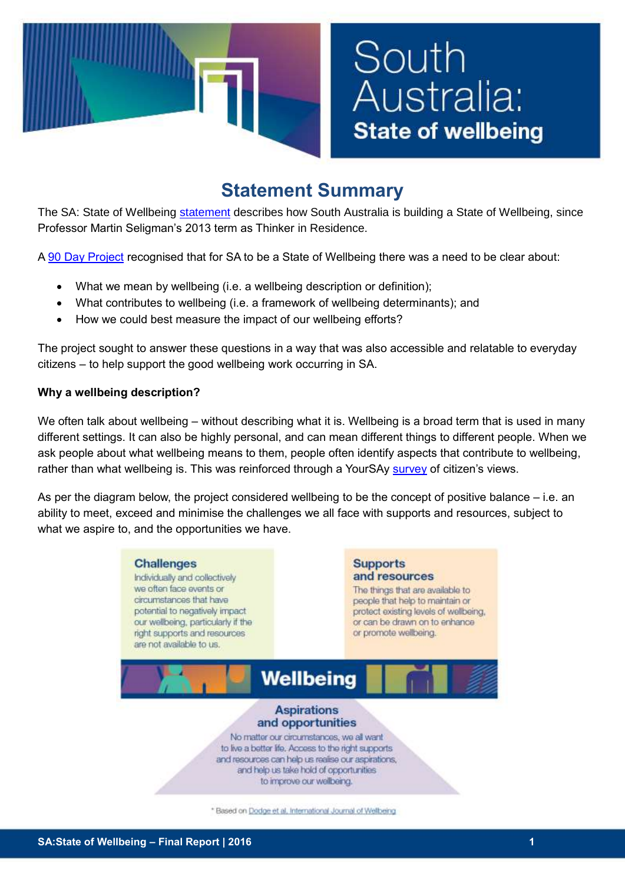

# South Australia: **State of wellbeing**

# **Statement Summary**

The SA: State of Wellbeing [statement](http://www.dcsi.sa.gov.au/__data/assets/pdf_file/0010/48277/South-Australia_-State-of-Wellbeing-final-2017-09-21.PDF) describes how South Australia is building a State of Wellbeing, since Professor Martin Seligman's 2013 term as Thinker in Residence.

A [90 Day Project](http://publicsector.sa.gov.au/culture/90-day-projects/state-of-wellbeing/) recognised that for SA to be a State of Wellbeing there was a need to be clear about:

- What we mean by wellbeing (i.e. a wellbeing description or definition);
- What contributes to wellbeing (i.e. a framework of wellbeing determinants); and
- How we could best measure the impact of our wellbeing efforts?

The project sought to answer these questions in a way that was also accessible and relatable to everyday citizens – to help support the good wellbeing work occurring in SA.

## **Why a wellbeing description?**

We often talk about wellbeing – without describing what it is. Wellbeing is a broad term that is used in many different settings. It can also be highly personal, and can mean different things to different people. When we ask people about what wellbeing means to them, people often identify aspects that contribute to wellbeing, rather than what wellbeing is. This was reinforced through a YourSAy [survey](http://www.sahealth.sa.gov.au/wps/wcm/connect/3215a3804f550af7bb96ffdd8959a390/6_SA+State+of+Wellbeing+Survey+Results+infographic+-+DCSI+template.pdf?MOD=AJPERES&CACHEID=3215a3804f550af7bb96ffdd8959a390) of citizen's views.

As per the diagram below, the project considered wellbeing to be the concept of positive balance – i.e. an ability to meet, exceed and minimise the challenges we all face with supports and resources, subject to what we aspire to, and the opportunities we have.



\* Based on Dodge et al, International Journal of Wellbeing